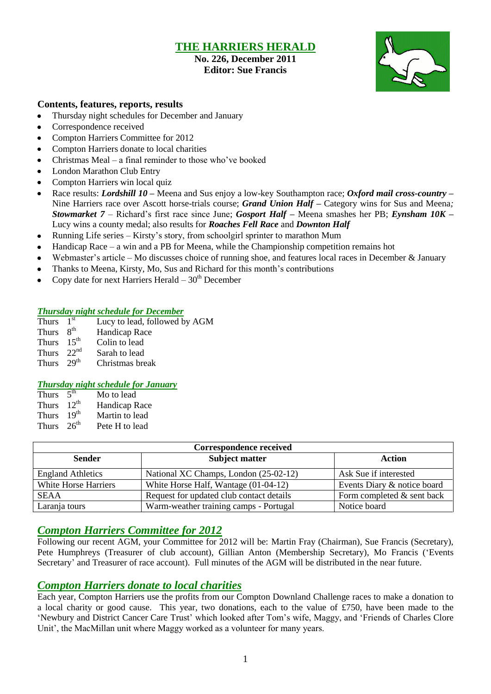### **THE HARRIERS HERALD**

#### **No. 226, December 2011 Editor: Sue Francis**



#### **Contents, features, reports, results**

- Thursday night schedules for December and January  $\bullet$
- Correspondence received
- $\bullet$ Compton Harriers Committee for 2012
- Compton Harriers donate to local charities  $\bullet$
- Christmas Meal a final reminder to those who"ve booked  $\bullet$
- London Marathon Club Entry
- Compton Harriers win local quiz
- Race results: *Lordshill 10 –* Meena and Sus enjoy a low-key Southampton race; *Oxford mail cross-country –* Nine Harriers race over Ascott horse-trials course; *Grand Union Half –* Category wins for Sus and Meena*; Stowmarket 7 –* Richard"s first race since June; *Gosport Half –* Meena smashes her PB; *Eynsham 10K –* Lucy wins a county medal; also results for *Roaches Fell Race* and *Downton Half*
- Running Life series Kirsty"s story, from schoolgirl sprinter to marathon Mum
- Handicap Race a win and a PB for Meena, while the Championship competition remains hot  $\bullet$
- Webmaster's article Mo discusses choice of running shoe, and features local races in December & January  $\bullet$
- Thanks to Meena, Kirsty, Mo, Sus and Richard for this month"s contributions
- Copy date for next Harriers Herald  $-30<sup>th</sup>$  December

#### *Thursday night schedule for December*

- Thurs  $1<sup>st</sup>$ Lucy to lead, followed by AGM
- Thurs  $8<sup>th</sup>$ Handicap Race
- Thurs  $15<sup>th</sup>$  Colin to lead
- Thurs  $22^{nd}$  Sarah to lead<br>Thurs  $29^{th}$  Christmas bre
- Christmas break

#### *Thursday night schedule for January*

- Thurs  $5<sup>th</sup>$ Mo to lead Thurs 12<sup>th</sup> **Handicap Race** Thurs 19<sup>th</sup>
- Martin to lead Thurs  $26<sup>th</sup>$  Pete H to lead
- 

| Correspondence received  |                                          |                             |  |  |  |
|--------------------------|------------------------------------------|-----------------------------|--|--|--|
| <b>Sender</b>            | <b>Subject matter</b>                    | <b>Action</b>               |  |  |  |
| <b>England Athletics</b> | National XC Champs, London (25-02-12)    | Ask Sue if interested       |  |  |  |
| White Horse Harriers     | White Horse Half, Wantage (01-04-12)     | Events Diary & notice board |  |  |  |
| <b>SEAA</b>              | Request for updated club contact details | Form completed & sent back  |  |  |  |
| Laranja tours            | Warm-weather training camps - Portugal   | Notice board                |  |  |  |

### *Compton Harriers Committee for 2012*

Following our recent AGM, your Committee for 2012 will be: Martin Fray (Chairman), Sue Francis (Secretary), Pete Humphreys (Treasurer of club account), Gillian Anton (Membership Secretary), Mo Francis ("Events Secretary' and Treasurer of race account). Full minutes of the AGM will be distributed in the near future.

### *Compton Harriers donate to local charities*

Each year, Compton Harriers use the profits from our Compton Downland Challenge races to make a donation to a local charity or good cause. This year, two donations, each to the value of £750, have been made to the "Newbury and District Cancer Care Trust" which looked after Tom"s wife, Maggy, and "Friends of Charles Clore Unit', the MacMillan unit where Maggy worked as a volunteer for many years.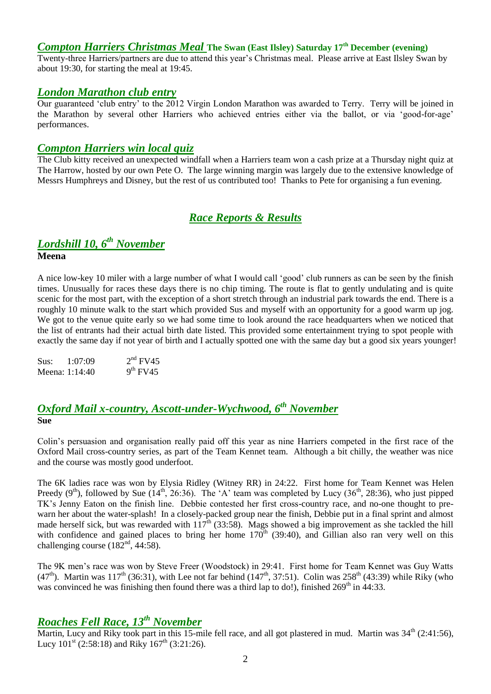### *Compton Harriers Christmas Meal* **The Swan (East Ilsley) Saturday 17th December (evening)**

Twenty-three Harriers/partners are due to attend this year"s Christmas meal. Please arrive at East Ilsley Swan by about 19:30, for starting the meal at 19:45.

#### *London Marathon club entry*

Our guaranteed "club entry" to the 2012 Virgin London Marathon was awarded to Terry. Terry will be joined in the Marathon by several other Harriers who achieved entries either via the ballot, or via "good-for-age" performances.

#### *Compton Harriers win local quiz*

The Club kitty received an unexpected windfall when a Harriers team won a cash prize at a Thursday night quiz at The Harrow, hosted by our own Pete O. The large winning margin was largely due to the extensive knowledge of Messrs Humphreys and Disney, but the rest of us contributed too! Thanks to Pete for organising a fun evening.

### *Race Reports & Results*

# *Lordshill 10, 6th November*

**Meena**

A nice low-key 10 miler with a large number of what I would call "good" club runners as can be seen by the finish times. Unusually for races these days there is no chip timing. The route is flat to gently undulating and is quite scenic for the most part, with the exception of a short stretch through an industrial park towards the end. There is a roughly 10 minute walk to the start which provided Sus and myself with an opportunity for a good warm up jog. We got to the venue quite early so we had some time to look around the race headquarters when we noticed that the list of entrants had their actual birth date listed. This provided some entertainment trying to spot people with exactly the same day if not year of birth and I actually spotted one with the same day but a good six years younger!

| Sus: | 1:07:09        | $2nd$ FV45 |
|------|----------------|------------|
|      | Meena: 1:14:40 | $9th$ FV45 |

### *Oxford Mail x-country, Ascott-under-Wychwood, 6th November* **Sue**

Colin"s persuasion and organisation really paid off this year as nine Harriers competed in the first race of the Oxford Mail cross-country series, as part of the Team Kennet team. Although a bit chilly, the weather was nice and the course was mostly good underfoot.

The 6K ladies race was won by Elysia Ridley (Witney RR) in 24:22. First home for Team Kennet was Helen Preedy  $(9<sup>th</sup>)$ , followed by Sue ( $14<sup>th</sup>$ , 26:36). The 'A' team was completed by Lucy ( $36<sup>th</sup>$ , 28:36), who just pipped TK"s Jenny Eaton on the finish line. Debbie contested her first cross-country race, and no-one thought to prewarn her about the water-splash! In a closely-packed group near the finish, Debbie put in a final sprint and almost made herself sick, but was rewarded with  $117^{\text{th}}$  (33:58). Mags showed a big improvement as she tackled the hill with confidence and gained places to bring her home  $170<sup>th</sup>$  (39:40), and Gillian also ran very well on this challenging course  $(182<sup>nd</sup>, 44:58)$ .

The 9K men's race was won by Steve Freer (Woodstock) in 29:41. First home for Team Kennet was Guy Watts (47<sup>th</sup>). Martin was 117<sup>th</sup> (36:31), with Lee not far behind (147<sup>th</sup>, 37:51). Colin was  $258^{th}$  (43:39) while Riky (who was convinced he was finishing then found there was a third lap to do!), finished  $269<sup>th</sup>$  in 44:33.

## *Roaches Fell Race, 13th November*

Martin, Lucy and Riky took part in this 15-mile fell race, and all got plastered in mud. Martin was  $34<sup>th</sup>$  (2:41:56), Lucy  $101^{st}$  (2:58:18) and Riky  $167^{th}$  (3:21:26).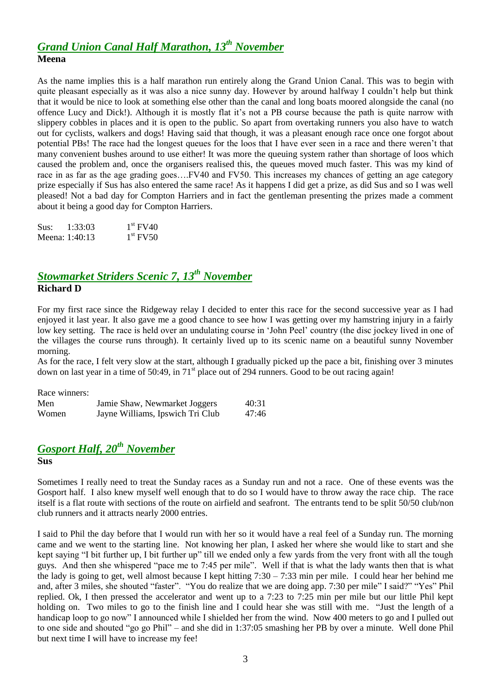### *Grand Union Canal Half Marathon, 13th November* **Meena**

As the name implies this is a half marathon run entirely along the Grand Union Canal. This was to begin with quite pleasant especially as it was also a nice sunny day. However by around halfway I couldn't help but think that it would be nice to look at something else other than the canal and long boats moored alongside the canal (no offence Lucy and Dick!). Although it is mostly flat it"s not a PB course because the path is quite narrow with slippery cobbles in places and it is open to the public. So apart from overtaking runners you also have to watch out for cyclists, walkers and dogs! Having said that though, it was a pleasant enough race once one forgot about potential PBs! The race had the longest queues for the loos that I have ever seen in a race and there weren"t that many convenient bushes around to use either! It was more the queuing system rather than shortage of loos which caused the problem and, once the organisers realised this, the queues moved much faster. This was my kind of race in as far as the age grading goes….FV40 and FV50. This increases my chances of getting an age category prize especially if Sus has also entered the same race! As it happens I did get a prize, as did Sus and so I was well pleased! Not a bad day for Compton Harriers and in fact the gentleman presenting the prizes made a comment about it being a good day for Compton Harriers.

| Sus:           | 1:33:03 | $1st$ FV40 |
|----------------|---------|------------|
| Meena: 1:40:13 |         | $1st$ FV50 |

### *Stowmarket Striders Scenic 7, 13th November* **Richard D**

For my first race since the Ridgeway relay I decided to enter this race for the second successive year as I had enjoyed it last year. It also gave me a good chance to see how I was getting over my hamstring injury in a fairly low key setting. The race is held over an undulating course in "John Peel" country (the disc jockey lived in one of the villages the course runs through). It certainly lived up to its scenic name on a beautiful sunny November morning.

As for the race, I felt very slow at the start, although I gradually picked up the pace a bit, finishing over 3 minutes down on last year in a time of  $50:49$ , in  $71<sup>st</sup>$  place out of 294 runners. Good to be out racing again!

| Race winners: |                                  |       |
|---------------|----------------------------------|-------|
| Men           | Jamie Shaw, Newmarket Joggers    | 40:31 |
| Women         | Jayne Williams, Ipswich Tri Club | 47:46 |

### *Gosport Half, 20th November* **Sus**

Sometimes I really need to treat the Sunday races as a Sunday run and not a race. One of these events was the Gosport half. I also knew myself well enough that to do so I would have to throw away the race chip. The race itself is a flat route with sections of the route on airfield and seafront. The entrants tend to be split 50/50 club/non club runners and it attracts nearly 2000 entries.

I said to Phil the day before that I would run with her so it would have a real feel of a Sunday run. The morning came and we went to the starting line. Not knowing her plan, I asked her where she would like to start and she kept saying "I bit further up, I bit further up" till we ended only a few yards from the very front with all the tough guys. And then she whispered "pace me to 7:45 per mile". Well if that is what the lady wants then that is what the lady is going to get, well almost because I kept hitting  $7:30 - 7:33$  min per mile. I could hear her behind me and, after 3 miles, she shouted "faster". "You do realize that we are doing app. 7:30 per mile" I said?" "Yes" Phil replied. Ok, I then pressed the accelerator and went up to a 7:23 to 7:25 min per mile but our little Phil kept holding on. Two miles to go to the finish line and I could hear she was still with me. "Just the length of a handicap loop to go now" I announced while I shielded her from the wind. Now 400 meters to go and I pulled out to one side and shouted "go go Phil" – and she did in 1:37:05 smashing her PB by over a minute. Well done Phil but next time I will have to increase my fee!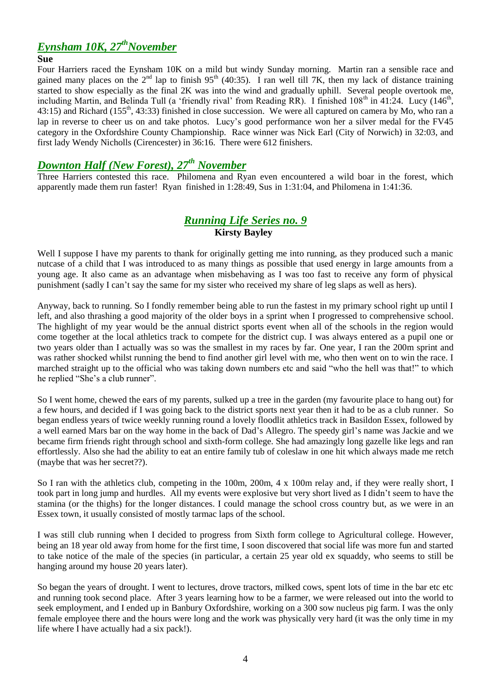## *Eynsham 10K, 27thNovember*

#### **Sue**

Four Harriers raced the Eynsham 10K on a mild but windy Sunday morning. Martin ran a sensible race and gained many places on the  $2^{nd}$  lap to finish 95<sup>th</sup> (40:35). I ran well till 7K, then my lack of distance training started to show especially as the final  $2K$  was into the wind and gradually uphill. Several people overtook me, including Martin, and Belinda Tull (a 'friendly rival' from Reading RR). I finished  $108<sup>th</sup>$  in 41:24. Lucy (146<sup>th</sup>, 43:15) and Richard (155<sup>th</sup>, 43:33) finished in close succession. We were all captured on camera by Mo, who ran a lap in reverse to cheer us on and take photos. Lucy's good performance won her a silver medal for the FV45 category in the Oxfordshire County Championship. Race winner was Nick Earl (City of Norwich) in 32:03, and first lady Wendy Nicholls (Cirencester) in 36:16. There were 612 finishers.

### *Downton Half (New Forest), 27th November*

Three Harriers contested this race. Philomena and Ryan even encountered a wild boar in the forest, which apparently made them run faster! Ryan finished in 1:28:49, Sus in 1:31:04, and Philomena in 1:41:36.

### *Running Life Series no. 9* **Kirsty Bayley**

Well I suppose I have my parents to thank for originally getting me into running, as they produced such a manic nutcase of a child that I was introduced to as many things as possible that used energy in large amounts from a young age. It also came as an advantage when misbehaving as I was too fast to receive any form of physical punishment (sadly I can"t say the same for my sister who received my share of leg slaps as well as hers).

Anyway, back to running. So I fondly remember being able to run the fastest in my primary school right up until I left, and also thrashing a good majority of the older boys in a sprint when I progressed to comprehensive school. The highlight of my year would be the annual district sports event when all of the schools in the region would come together at the local athletics track to compete for the district cup. I was always entered as a pupil one or two years older than I actually was so was the smallest in my races by far. One year, I ran the 200m sprint and was rather shocked whilst running the bend to find another girl level with me, who then went on to win the race. I marched straight up to the official who was taking down numbers etc and said "who the hell was that!" to which he replied "She's a club runner".

So I went home, chewed the ears of my parents, sulked up a tree in the garden (my favourite place to hang out) for a few hours, and decided if I was going back to the district sports next year then it had to be as a club runner. So began endless years of twice weekly running round a lovely floodlit athletics track in Basildon Essex, followed by a well earned Mars bar on the way home in the back of Dad"s Allegro. The speedy girl"s name was Jackie and we became firm friends right through school and sixth-form college. She had amazingly long gazelle like legs and ran effortlessly. Also she had the ability to eat an entire family tub of coleslaw in one hit which always made me retch (maybe that was her secret??).

So I ran with the athletics club, competing in the 100m, 200m, 4 x 100m relay and, if they were really short, I took part in long jump and hurdles. All my events were explosive but very short lived as I didn"t seem to have the stamina (or the thighs) for the longer distances. I could manage the school cross country but, as we were in an Essex town, it usually consisted of mostly tarmac laps of the school.

I was still club running when I decided to progress from Sixth form college to Agricultural college. However, being an 18 year old away from home for the first time, I soon discovered that social life was more fun and started to take notice of the male of the species (in particular, a certain 25 year old ex squaddy, who seems to still be hanging around my house 20 years later).

So began the years of drought. I went to lectures, drove tractors, milked cows, spent lots of time in the bar etc etc and running took second place. After 3 years learning how to be a farmer, we were released out into the world to seek employment, and I ended up in Banbury Oxfordshire, working on a 300 sow nucleus pig farm. I was the only female employee there and the hours were long and the work was physically very hard (it was the only time in my life where I have actually had a six pack!).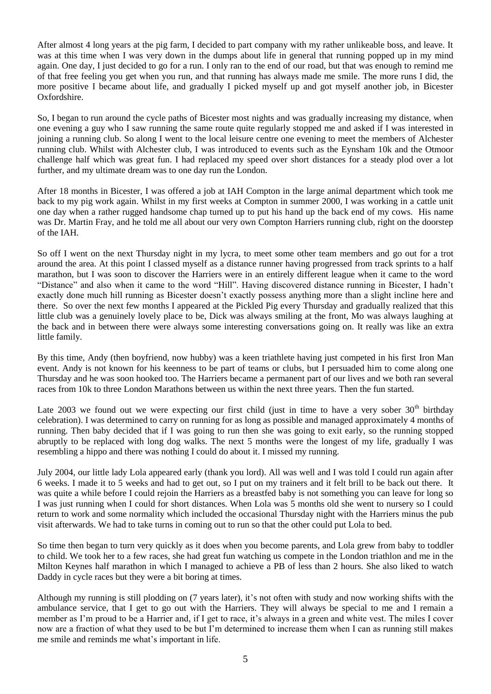After almost 4 long years at the pig farm, I decided to part company with my rather unlikeable boss, and leave. It was at this time when I was very down in the dumps about life in general that running popped up in my mind again. One day, I just decided to go for a run. I only ran to the end of our road, but that was enough to remind me of that free feeling you get when you run, and that running has always made me smile. The more runs I did, the more positive I became about life, and gradually I picked myself up and got myself another job, in Bicester Oxfordshire.

So, I began to run around the cycle paths of Bicester most nights and was gradually increasing my distance, when one evening a guy who I saw running the same route quite regularly stopped me and asked if I was interested in joining a running club. So along I went to the local leisure centre one evening to meet the members of Alchester running club. Whilst with Alchester club, I was introduced to events such as the Eynsham 10k and the Otmoor challenge half which was great fun. I had replaced my speed over short distances for a steady plod over a lot further, and my ultimate dream was to one day run the London.

After 18 months in Bicester, I was offered a job at IAH Compton in the large animal department which took me back to my pig work again. Whilst in my first weeks at Compton in summer 2000, I was working in a cattle unit one day when a rather rugged handsome chap turned up to put his hand up the back end of my cows. His name was Dr. Martin Fray, and he told me all about our very own Compton Harriers running club, right on the doorstep of the IAH.

So off I went on the next Thursday night in my lycra, to meet some other team members and go out for a trot around the area. At this point I classed myself as a distance runner having progressed from track sprints to a half marathon, but I was soon to discover the Harriers were in an entirely different league when it came to the word "Distance" and also when it came to the word "Hill". Having discovered distance running in Bicester, I hadn"t exactly done much hill running as Bicester doesn"t exactly possess anything more than a slight incline here and there. So over the next few months I appeared at the Pickled Pig every Thursday and gradually realized that this little club was a genuinely lovely place to be, Dick was always smiling at the front, Mo was always laughing at the back and in between there were always some interesting conversations going on. It really was like an extra little family.

By this time, Andy (then boyfriend, now hubby) was a keen triathlete having just competed in his first Iron Man event. Andy is not known for his keenness to be part of teams or clubs, but I persuaded him to come along one Thursday and he was soon hooked too. The Harriers became a permanent part of our lives and we both ran several races from 10k to three London Marathons between us within the next three years. Then the fun started.

Late 2003 we found out we were expecting our first child (just in time to have a very sober  $30<sup>th</sup>$  birthday celebration). I was determined to carry on running for as long as possible and managed approximately 4 months of running. Then baby decided that if I was going to run then she was going to exit early, so the running stopped abruptly to be replaced with long dog walks. The next 5 months were the longest of my life, gradually I was resembling a hippo and there was nothing I could do about it. I missed my running.

July 2004, our little lady Lola appeared early (thank you lord). All was well and I was told I could run again after 6 weeks. I made it to 5 weeks and had to get out, so I put on my trainers and it felt brill to be back out there. It was quite a while before I could rejoin the Harriers as a breastfed baby is not something you can leave for long so I was just running when I could for short distances. When Lola was 5 months old she went to nursery so I could return to work and some normality which included the occasional Thursday night with the Harriers minus the pub visit afterwards. We had to take turns in coming out to run so that the other could put Lola to bed.

So time then began to turn very quickly as it does when you become parents, and Lola grew from baby to toddler to child. We took her to a few races, she had great fun watching us compete in the London triathlon and me in the Milton Keynes half marathon in which I managed to achieve a PB of less than 2 hours. She also liked to watch Daddy in cycle races but they were a bit boring at times.

Although my running is still plodding on (7 years later), it"s not often with study and now working shifts with the ambulance service, that I get to go out with the Harriers. They will always be special to me and I remain a member as I'm proud to be a Harrier and, if I get to race, it's always in a green and white vest. The miles I cover now are a fraction of what they used to be but I"m determined to increase them when I can as running still makes me smile and reminds me what"s important in life.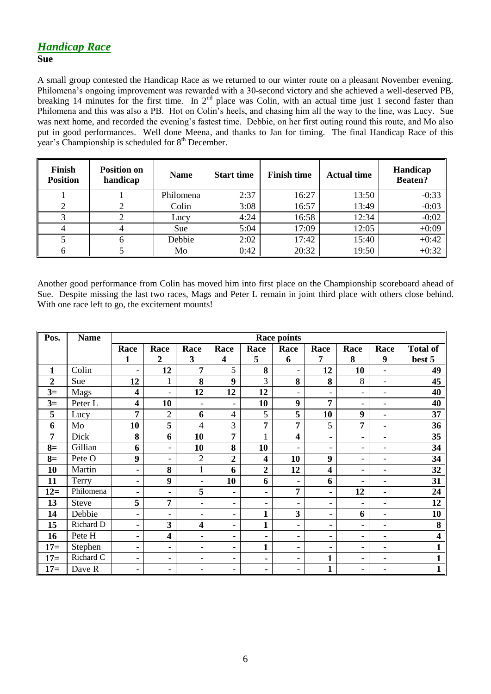# *Handicap Race*

#### **Sue**

A small group contested the Handicap Race as we returned to our winter route on a pleasant November evening. Philomena"s ongoing improvement was rewarded with a 30-second victory and she achieved a well-deserved PB, breaking 14 minutes for the first time. In 2<sup>nd</sup> place was Colin, with an actual time just 1 second faster than Philomena and this was also a PB. Hot on Colin"s heels, and chasing him all the way to the line, was Lucy. Sue was next home, and recorded the evening's fastest time. Debbie, on her first outing round this route, and Mo also put in good performances. Well done Meena, and thanks to Jan for timing. The final Handicap Race of this year's Championship is scheduled for 8<sup>th</sup> December.

| Finish<br><b>Position</b> | <b>Position on</b><br>handicap | <b>Name</b> | <b>Start time</b> | <b>Finish time</b> | <b>Actual time</b> | Handicap<br><b>Beaten?</b> |
|---------------------------|--------------------------------|-------------|-------------------|--------------------|--------------------|----------------------------|
|                           |                                | Philomena   | 2:37              | 16:27              | 13:50              | $-0:33$                    |
|                           |                                | Colin       | 3:08              | 16:57              | 13:49              | $-0:03$                    |
|                           |                                | Lucy        | 4:24              | 16:58              | 12:34              | $-0:02$                    |
|                           |                                | <b>Sue</b>  | 5:04              | 17:09              | 12:05              | $+0:09$                    |
|                           |                                | Debbie      | 2:02              | 17:42              | 15:40              | $+0:42$                    |
|                           |                                | Mo          | 0:42              | 20:32              | 19:50              | $+0:32$                    |

Another good performance from Colin has moved him into first place on the Championship scoreboard ahead of Sue. Despite missing the last two races, Mags and Peter L remain in joint third place with others close behind. With one race left to go, the excitement mounts!

| Pos.             | <b>Name</b>  | <b>Race points</b>       |                          |                          |                          |                          |                              |                          |                          |                              |                         |
|------------------|--------------|--------------------------|--------------------------|--------------------------|--------------------------|--------------------------|------------------------------|--------------------------|--------------------------|------------------------------|-------------------------|
|                  |              | Race                     | Race                     | Race                     | Race                     | Race                     | Race                         | Race                     | Race                     | Race                         | <b>Total of</b>         |
|                  |              | $\mathbf{1}$             | $\overline{2}$           | 3                        | $\overline{\mathbf{4}}$  | 5                        | 6                            | 7                        | 8                        | 9                            | best 5                  |
| $\mathbf{1}$     | Colin        | $\overline{\phantom{a}}$ | 12                       | 7                        | 5                        | 8                        |                              | 12                       | 10                       | $\blacksquare$               | 49                      |
| $\boldsymbol{2}$ | Sue          | 12                       | 1                        | 8                        | $\boldsymbol{9}$         | $\overline{3}$           | 8                            | 8                        | 8                        | $\overline{\phantom{0}}$     | 45                      |
| $3=$             | Mags         | 4                        | $\overline{\phantom{a}}$ | 12                       | 12                       | 12                       | -                            | $\overline{\phantom{a}}$ | $\overline{\phantom{a}}$ | $\overline{\phantom{a}}$     | 40                      |
| $3=$             | Peter L      | $\overline{\mathbf{4}}$  | 10                       | $\overline{\phantom{a}}$ | $\overline{\phantom{0}}$ | 10                       | 9                            | $\overline{7}$           | $\blacksquare$           | $\overline{\phantom{a}}$     | 40                      |
| 5                | Lucy         | 7                        | $\overline{2}$           | 6                        | $\overline{4}$           | 5                        | 5                            | 10                       | 9                        | $\overline{\phantom{a}}$     | 37                      |
| 6                | Mo           | 10                       | 5                        | $\overline{4}$           | 3                        | 7                        | 7                            | 5                        | 7                        | $\qquad \qquad \blacksquare$ | 36                      |
| 7                | Dick         | 8                        | 6                        | 10                       | 7                        | $\mathbf{1}$             | $\overline{\mathbf{4}}$      | $\overline{\phantom{a}}$ | $\blacksquare$           | $\overline{\phantom{a}}$     | 35                      |
| $8=$             | Gillian      | 6                        | $\overline{\phantom{a}}$ | 10                       | 8                        | 10                       | $\overline{\phantom{0}}$     | $\overline{\phantom{a}}$ | $\overline{\phantom{a}}$ | $\overline{\phantom{a}}$     | 34                      |
| $8=$             | Pete O       | 9                        | $\blacksquare$           | $\overline{2}$           | $\overline{2}$           | $\overline{\mathbf{4}}$  | 10                           | 9                        | $\overline{\phantom{a}}$ | $\qquad \qquad \blacksquare$ | 34                      |
| 10               | Martin       | $\overline{\phantom{a}}$ | 8                        | $\mathbf{1}$             | 6                        | $\overline{2}$           | 12                           | $\overline{\mathbf{4}}$  | $\blacksquare$           | $\overline{\phantom{a}}$     | 32                      |
| 11               | Terry        | $\overline{\phantom{a}}$ | 9                        | $\overline{\phantom{a}}$ | 10                       | 6                        |                              | 6                        | $\overline{\phantom{a}}$ | $\qquad \qquad \blacksquare$ | 31                      |
| $12=$            | Philomena    | $\overline{\phantom{a}}$ | $\overline{\phantom{a}}$ | 5                        | $\overline{\phantom{a}}$ | $\overline{\phantom{a}}$ | 7                            | $\blacksquare$           | 12                       | $\blacksquare$               | 24                      |
| 13               | <b>Steve</b> | 5                        | 7                        | $\overline{\phantom{a}}$ | $\overline{\phantom{a}}$ | $\overline{\phantom{0}}$ |                              | $\overline{\phantom{a}}$ | $\overline{\phantom{a}}$ | $\overline{\phantom{a}}$     | 12                      |
| 14               | Debbie       | $\overline{\phantom{a}}$ | $\overline{\phantom{a}}$ | $\overline{\phantom{0}}$ | -                        | $\mathbf{1}$             | 3                            | $\overline{\phantom{a}}$ | 6                        | $\overline{\phantom{a}}$     | 10                      |
| 15               | Richard D    | $\overline{\phantom{a}}$ | 3                        | $\overline{\mathbf{4}}$  | $\overline{\phantom{a}}$ | $\mathbf{1}$             | $\overline{\phantom{0}}$     | $\overline{\phantom{a}}$ | $\overline{\phantom{a}}$ | $\overline{\phantom{a}}$     | 8                       |
| 16               | Pete H       | $\overline{\phantom{a}}$ | 4                        | $\overline{\phantom{a}}$ | $\overline{\phantom{0}}$ | $\overline{\phantom{a}}$ | -                            | $\overline{\phantom{a}}$ | $\overline{\phantom{a}}$ | $\blacksquare$               | $\overline{\mathbf{4}}$ |
| $17=$            | Stephen      | $\overline{\phantom{a}}$ | $\overline{\phantom{a}}$ | $\overline{\phantom{a}}$ | $\overline{\phantom{a}}$ | $\mathbf{1}$             | $\qquad \qquad \blacksquare$ | $\overline{\phantom{a}}$ | $\overline{\phantom{a}}$ | $\overline{\phantom{0}}$     | $\mathbf{1}$            |
| $17=$            | Richard C    | $\overline{\phantom{a}}$ | $\overline{\phantom{a}}$ | $\overline{\phantom{a}}$ | $\overline{\phantom{a}}$ | ٠                        | $\qquad \qquad -$            | $\mathbf{1}$             | $\overline{\phantom{a}}$ | $\overline{\phantom{a}}$     | $\mathbf{1}$            |
| $17=$            | Dave R       | $\overline{\phantom{a}}$ | $\overline{\phantom{a}}$ | $\overline{\phantom{a}}$ | $\overline{\phantom{a}}$ | ٠                        | $\qquad \qquad \blacksquare$ | $\mathbf{1}$             | $\overline{\phantom{a}}$ | $\qquad \qquad \blacksquare$ | $\mathbf{1}$            |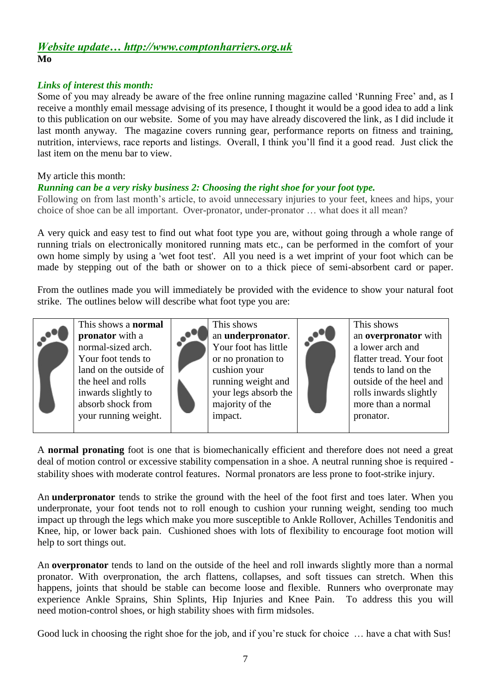### *Website update… http://www.comptonharriers.org.uk* **Mo**

#### *Links of interest this month:*

Some of you may already be aware of the free online running magazine called "Running Free" and, as I receive a monthly email message advising of its presence, I thought it would be a good idea to add a link to this publication on our website. Some of you may have already discovered the link, as I did include it last month anyway. The magazine covers running gear, performance reports on fitness and training, nutrition, interviews, race reports and listings. Overall, I think you"ll find it a good read. Just click the last item on the menu bar to view.

My article this month:

#### *Running can be a very risky business 2: Choosing the right shoe for your foot type.*

Following on from last month's article, to avoid unnecessary injuries to your feet, knees and hips, your choice of shoe can be all important. Over-pronator, under-pronator … what does it all mean?

A very quick and easy test to find out what foot type you are, without going through a whole range of running trials on electronically monitored running mats etc., can be performed in the comfort of your own home simply by using a 'wet foot test'. All you need is a wet imprint of your foot which can be made by stepping out of the bath or shower on to a thick piece of semi-absorbent card or paper.

From the outlines made you will immediately be provided with the evidence to show your natural foot strike. The outlines below will describe what foot type you are:



This shows a **normal pronator** with a normal-sized arch. Your foot tends to land on the outside of the heel and rolls inwards slightly to absorb shock from your running weight.



an **underpronator**. Your foot has little or no pronation to cushion your running weight and your legs absorb the majority of the impact.



This shows an **overpronator** with a lower arch and flatter tread. Your foot tends to land on the outside of the heel and rolls inwards slightly more than a normal pronator.

A **normal pronating** foot is one that is biomechanically efficient and therefore does not need a great deal of motion control or excessive stability compensation in a shoe. A neutral running shoe is required stability shoes with moderate control features. Normal pronators are less prone to foot-strike injury.

An **underpronator** tends to strike the ground with the heel of the foot first and toes later. When you underpronate, your foot tends not to roll enough to cushion your running weight, sending too much impact up through the legs which make you more susceptible to Ankle Rollover, Achilles Tendonitis and Knee, hip, or lower back pain. Cushioned shoes with lots of flexibility to encourage foot motion will help to sort things out.

An **overpronator** tends to land on the outside of the heel and roll inwards slightly more than a normal pronator. With overpronation, the arch flattens, collapses, and soft tissues can stretch. When this happens, joints that should be stable can become loose and flexible. Runners who overpronate may experience Ankle Sprains, Shin Splints, Hip Injuries and Knee Pain. To address this you will need motion-control shoes, or high stability shoes with firm midsoles.

Good luck in choosing the right shoe for the job, and if you're stuck for choice ... have a chat with Sus!